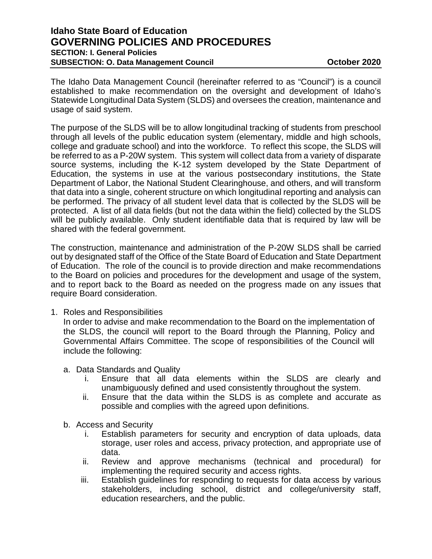## **Idaho State Board of Education GOVERNING POLICIES AND PROCEDURES SECTION: I. General Policies SUBSECTION: O. Data Management Council <b>Connection COUNCIL COUNCIL COUNCIL COUNCIL COUNCIL**

The Idaho Data Management Council (hereinafter referred to as "Council") is a council established to make recommendation on the oversight and development of Idaho's Statewide Longitudinal Data System (SLDS) and oversees the creation, maintenance and usage of said system.

The purpose of the SLDS will be to allow longitudinal tracking of students from preschool through all levels of the public education system (elementary, middle and high schools, college and graduate school) and into the workforce. To reflect this scope, the SLDS will be referred to as a P-20W system. This system will collect data from a variety of disparate source systems, including the K-12 system developed by the State Department of Education, the systems in use at the various postsecondary institutions, the State Department of Labor, the National Student Clearinghouse, and others, and will transform that data into a single, coherent structure on which longitudinal reporting and analysis can be performed. The privacy of all student level data that is collected by the SLDS will be protected. A list of all data fields (but not the data within the field) collected by the SLDS will be publicly available. Only student identifiable data that is required by law will be shared with the federal government.

The construction, maintenance and administration of the P-20W SLDS shall be carried out by designated staff of the Office of the State Board of Education and State Department of Education. The role of the council is to provide direction and make recommendations to the Board on policies and procedures for the development and usage of the system, and to report back to the Board as needed on the progress made on any issues that require Board consideration.

1. Roles and Responsibilities

In order to advise and make recommendation to the Board on the implementation of the SLDS, the council will report to the Board through the Planning, Policy and Governmental Affairs Committee. The scope of responsibilities of the Council will include the following:

- a. Data Standards and Quality
	- i. Ensure that all data elements within the SLDS are clearly and unambiguously defined and used consistently throughout the system.
	- ii. Ensure that the data within the SLDS is as complete and accurate as possible and complies with the agreed upon definitions.
- b. Access and Security
	- i. Establish parameters for security and encryption of data uploads, data storage, user roles and access, privacy protection, and appropriate use of data.
	- ii. Review and approve mechanisms (technical and procedural) for implementing the required security and access rights.
	- iii. Establish guidelines for responding to requests for data access by various stakeholders, including school, district and college/university staff, education researchers, and the public.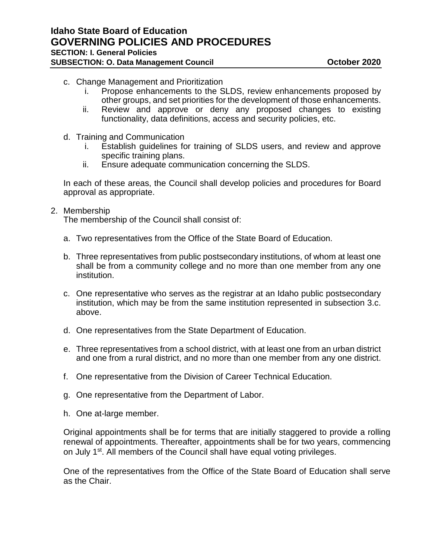**Idaho State Board of Education GOVERNING POLICIES AND PROCEDURES SECTION: I. General Policies**

**SUBSECTION: O. Data Management Council <b>Connection COUNCIL COUNCIL COUNCIL COUNCIL COUNCIL** 

- c. Change Management and Prioritization
	- i. Propose enhancements to the SLDS, review enhancements proposed by other groups, and set priorities for the development of those enhancements.
	- ii. Review and approve or deny any proposed changes to existing functionality, data definitions, access and security policies, etc.
- d. Training and Communication
	- i. Establish guidelines for training of SLDS users, and review and approve specific training plans.
	- ii. Ensure adequate communication concerning the SLDS.

In each of these areas, the Council shall develop policies and procedures for Board approval as appropriate.

## 2. Membership

The membership of the Council shall consist of:

- a. Two representatives from the Office of the State Board of Education.
- b. Three representatives from public postsecondary institutions, of whom at least one shall be from a community college and no more than one member from any one institution.
- c. One representative who serves as the registrar at an Idaho public postsecondary institution, which may be from the same institution represented in subsection 3.c. above.
- d. One representatives from the State Department of Education.
- e. Three representatives from a school district, with at least one from an urban district and one from a rural district, and no more than one member from any one district.
- f. One representative from the Division of Career Technical Education.
- g. One representative from the Department of Labor.
- h. One at-large member.

Original appointments shall be for terms that are initially staggered to provide a rolling renewal of appointments. Thereafter, appointments shall be for two years, commencing on July 1<sup>st</sup>. All members of the Council shall have equal voting privileges.

One of the representatives from the Office of the State Board of Education shall serve as the Chair.